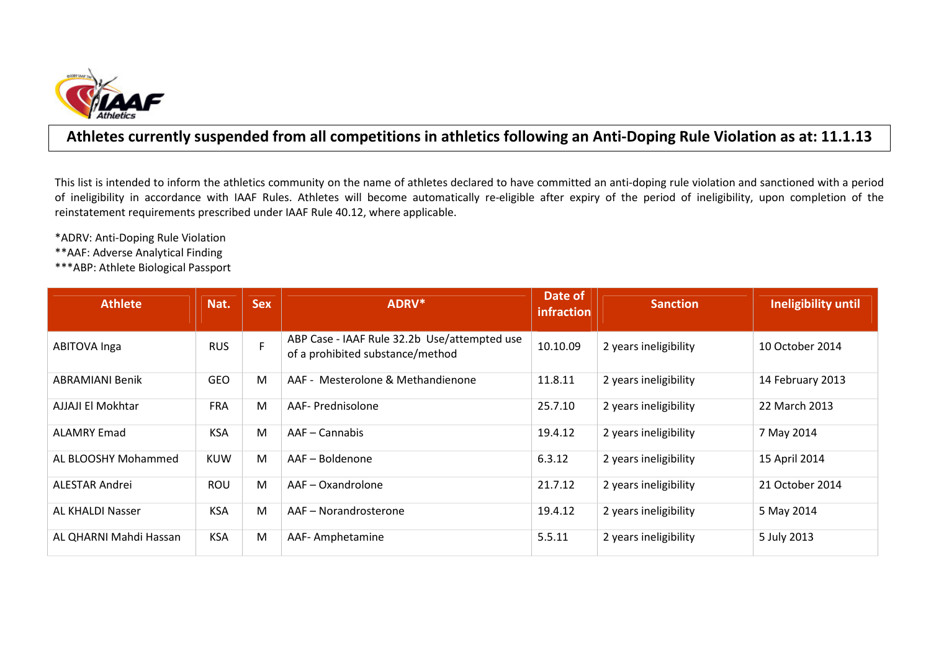

## Athletes currently suspended from all competitions in athletics following an Anti-Doping Rule Violation as at: 11.1.13

This list is intended to inform the athletics community on the name of athletes declared to have committed an anti-doping rule violation and sanctioned with a period of ineligibility in accordance with IAAF Rules. Athletes will become automatically re-eligible after expiry of the period of ineligibility, upon completion of the reinstatement requirements prescribed under IAAF Rule 40.12, where applicable.

\*ADRV: Anti-Doping Rule Violation

\*\*AAF: Adverse Analytical Finding

\*\*\*ABP: Athlete Biological Passport

| <b>Athlete</b>          | Nat.       | <b>Sex</b> | ADRV*                                                                            | Date of<br>infraction | <b>Sanction</b>       | Ineligibility until |
|-------------------------|------------|------------|----------------------------------------------------------------------------------|-----------------------|-----------------------|---------------------|
| ABITOVA Inga            | <b>RUS</b> | F          | ABP Case - IAAF Rule 32.2b Use/attempted use<br>of a prohibited substance/method | 10.10.09              | 2 years ineligibility | 10 October 2014     |
| <b>ABRAMIANI Benik</b>  | <b>GEO</b> | M          | AAF - Mesterolone & Methandienone                                                | 11.8.11               | 2 years ineligibility | 14 February 2013    |
| AJJAJI El Mokhtar       | <b>FRA</b> | M          | AAF- Prednisolone                                                                | 25.7.10               | 2 years ineligibility | 22 March 2013       |
| <b>ALAMRY Emad</b>      | <b>KSA</b> | M          | AAF - Cannabis                                                                   | 19.4.12               | 2 years ineligibility | 7 May 2014          |
| AL BLOOSHY Mohammed     | <b>KUW</b> | M          | AAF-Boldenone                                                                    | 6.3.12                | 2 years ineligibility | 15 April 2014       |
| ALESTAR Andrei          | <b>ROU</b> | M          | AAF-Oxandrolone                                                                  | 21.7.12               | 2 years ineligibility | 21 October 2014     |
| <b>AL KHALDI Nasser</b> | <b>KSA</b> | M          | AAF - Norandrosterone                                                            | 19.4.12               | 2 years ineligibility | 5 May 2014          |
| AL QHARNI Mahdi Hassan  | <b>KSA</b> | M          | AAF-Amphetamine                                                                  | 5.5.11                | 2 years ineligibility | 5 July 2013         |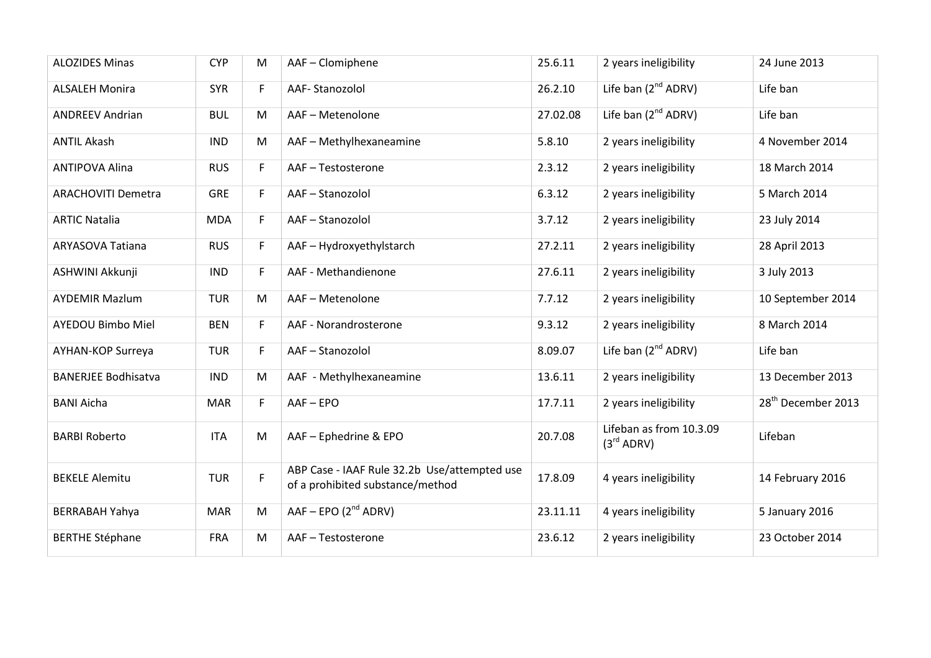| <b>ALOZIDES Minas</b>      | <b>CYP</b> | M  | AAF - Clomiphene                                                                 | 25.6.11  | 2 years ineligibility                             | 24 June 2013                   |
|----------------------------|------------|----|----------------------------------------------------------------------------------|----------|---------------------------------------------------|--------------------------------|
| <b>ALSALEH Monira</b>      | <b>SYR</b> | F. | AAF-Stanozolol                                                                   | 26.2.10  | Life ban (2 <sup>nd</sup> ADRV)                   | Life ban                       |
| <b>ANDREEV Andrian</b>     | <b>BUL</b> | M  | AAF - Metenolone                                                                 | 27.02.08 | Life ban $(2^{nd}$ ADRV)                          | Life ban                       |
| <b>ANTIL Akash</b>         | <b>IND</b> | M  | AAF - Methylhexaneamine                                                          | 5.8.10   | 2 years ineligibility                             | 4 November 2014                |
| <b>ANTIPOVA Alina</b>      | <b>RUS</b> | F  | AAF-Testosterone                                                                 | 2.3.12   | 2 years ineligibility                             | 18 March 2014                  |
| <b>ARACHOVITI Demetra</b>  | <b>GRE</b> | F. | AAF-Stanozolol                                                                   | 6.3.12   | 2 years ineligibility                             | 5 March 2014                   |
| <b>ARTIC Natalia</b>       | <b>MDA</b> | F. | AAF-Stanozolol                                                                   | 3.7.12   | 2 years ineligibility                             | 23 July 2014                   |
| ARYASOVA Tatiana           | <b>RUS</b> | F. | AAF - Hydroxyethylstarch                                                         | 27.2.11  | 2 years ineligibility                             | 28 April 2013                  |
| ASHWINI Akkunji            | <b>IND</b> | F. | AAF - Methandienone                                                              | 27.6.11  | 2 years ineligibility                             | 3 July 2013                    |
| <b>AYDEMIR Mazlum</b>      | <b>TUR</b> | M  | AAF - Metenolone                                                                 | 7.7.12   | 2 years ineligibility                             | 10 September 2014              |
| <b>AYEDOU Bimbo Miel</b>   | <b>BEN</b> | F. | AAF - Norandrosterone                                                            | 9.3.12   | 2 years ineligibility                             | 8 March 2014                   |
| AYHAN-KOP Surreya          | <b>TUR</b> | F. | AAF-Stanozolol                                                                   | 8.09.07  | Life ban $(2^{nd}$ ADRV)                          | Life ban                       |
| <b>BANERJEE Bodhisatva</b> | <b>IND</b> | M  | AAF - Methylhexaneamine                                                          | 13.6.11  | 2 years ineligibility                             | 13 December 2013               |
| <b>BANI Aicha</b>          | <b>MAR</b> | F  | AAF-EPO                                                                          | 17.7.11  | 2 years ineligibility                             | 28 <sup>th</sup> December 2013 |
| <b>BARBI Roberto</b>       | <b>ITA</b> | M  | AAF - Ephedrine & EPO                                                            | 20.7.08  | Lifeban as from 10.3.09<br>(3 <sup>rd</sup> ADRV) | Lifeban                        |
| <b>BEKELE Alemitu</b>      | <b>TUR</b> | F  | ABP Case - IAAF Rule 32.2b Use/attempted use<br>of a prohibited substance/method | 17.8.09  | 4 years ineligibility                             | 14 February 2016               |
| <b>BERRABAH Yahya</b>      | <b>MAR</b> | M  | $AAF - EPO (2nd ADRV)$                                                           | 23.11.11 | 4 years ineligibility                             | 5 January 2016                 |
| <b>BERTHE Stéphane</b>     | <b>FRA</b> | M  | AAF-Testosterone                                                                 | 23.6.12  | 2 years ineligibility                             | 23 October 2014                |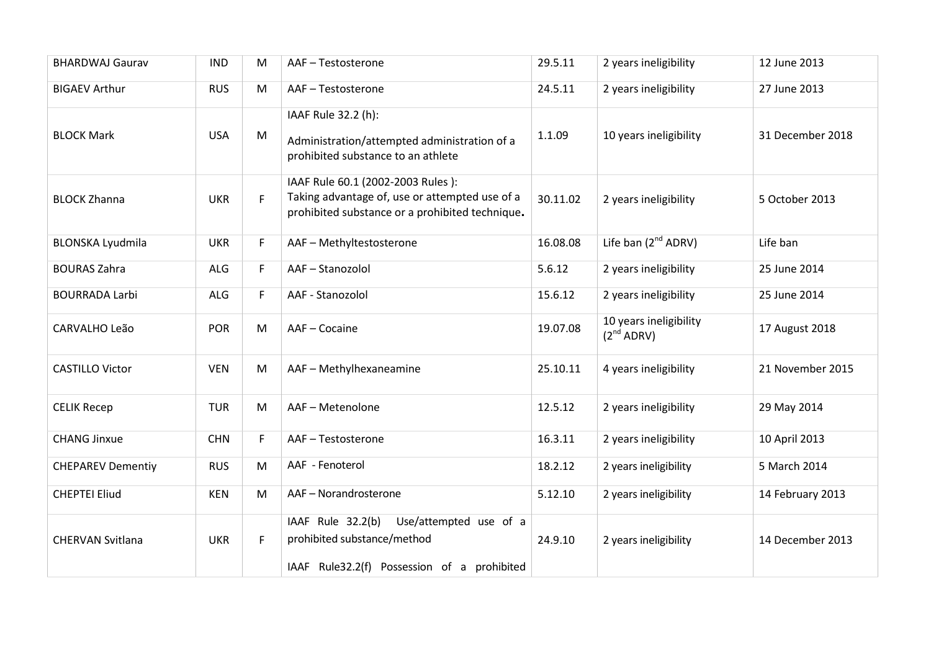| <b>BHARDWAJ Gaurav</b>   | <b>IND</b> | M  | AAF-Testosterone                                                                                                                       | 29.5.11  | 2 years ineligibility                     | 12 June 2013     |
|--------------------------|------------|----|----------------------------------------------------------------------------------------------------------------------------------------|----------|-------------------------------------------|------------------|
| <b>BIGAEV Arthur</b>     | <b>RUS</b> | M  | AAF-Testosterone                                                                                                                       | 24.5.11  | 2 years ineligibility                     | 27 June 2013     |
| <b>BLOCK Mark</b>        | <b>USA</b> | M  | IAAF Rule 32.2 (h):<br>Administration/attempted administration of a<br>prohibited substance to an athlete                              | 1.1.09   | 10 years ineligibility                    | 31 December 2018 |
| <b>BLOCK Zhanna</b>      | <b>UKR</b> | F. | IAAF Rule 60.1 (2002-2003 Rules):<br>Taking advantage of, use or attempted use of a<br>prohibited substance or a prohibited technique. | 30.11.02 | 2 years ineligibility                     | 5 October 2013   |
| <b>BLONSKA Lyudmila</b>  | <b>UKR</b> | F  | AAF - Methyltestosterone                                                                                                               | 16.08.08 | Life ban $(2^{nd}$ ADRV)                  | Life ban         |
| <b>BOURAS Zahra</b>      | ALG        | F  | AAF-Stanozolol                                                                                                                         | 5.6.12   | 2 years ineligibility                     | 25 June 2014     |
| <b>BOURRADA Larbi</b>    | ALG        | F  | AAF - Stanozolol                                                                                                                       | 15.6.12  | 2 years ineligibility                     | 25 June 2014     |
| CARVALHO Leão            | <b>POR</b> | M  | AAF-Cocaine                                                                                                                            | 19.07.08 | 10 years ineligibility<br>$(2^{nd}$ ADRV) | 17 August 2018   |
| <b>CASTILLO Victor</b>   | <b>VEN</b> | M  | AAF - Methylhexaneamine                                                                                                                | 25.10.11 | 4 years ineligibility                     | 21 November 2015 |
| <b>CELIK Recep</b>       | <b>TUR</b> | M  | AAF - Metenolone                                                                                                                       | 12.5.12  | 2 years ineligibility                     | 29 May 2014      |
| <b>CHANG Jinxue</b>      | <b>CHN</b> | F  | AAF-Testosterone                                                                                                                       | 16.3.11  | 2 years ineligibility                     | 10 April 2013    |
| <b>CHEPAREV Dementiy</b> | <b>RUS</b> | M  | AAF - Fenoterol                                                                                                                        | 18.2.12  | 2 years ineligibility                     | 5 March 2014     |
| <b>CHEPTEI Eliud</b>     | <b>KEN</b> | M  | AAF-Norandrosterone                                                                                                                    | 5.12.10  | 2 years ineligibility                     | 14 February 2013 |
| <b>CHERVAN Svitlana</b>  | <b>UKR</b> | F. | Use/attempted use of a<br>IAAF Rule 32.2(b)<br>prohibited substance/method<br>IAAF Rule32.2(f) Possession of a prohibited              | 24.9.10  | 2 years ineligibility                     | 14 December 2013 |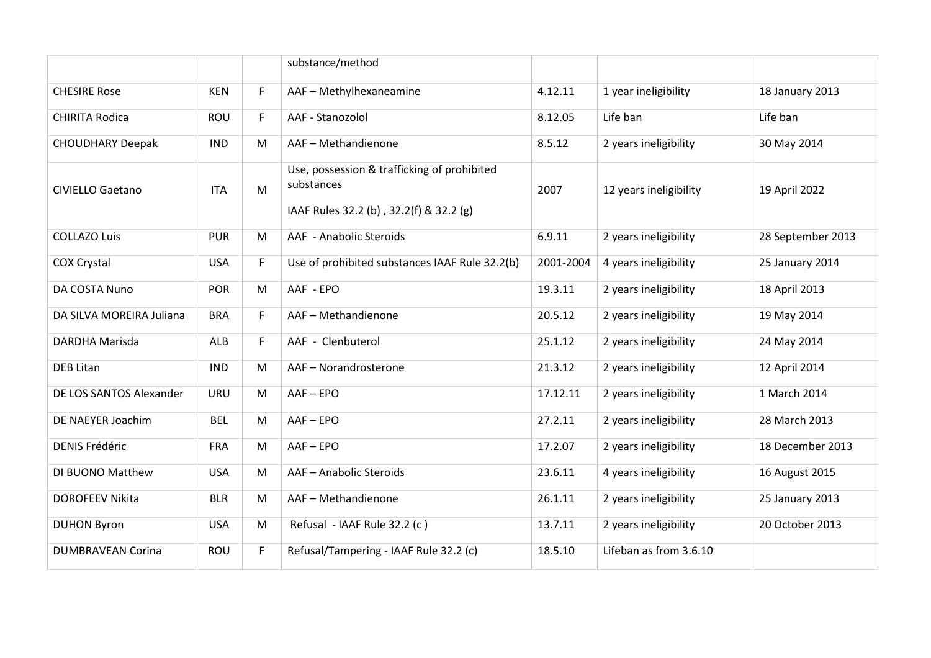|                          |            |    | substance/method                                                                                     |           |                        |                   |
|--------------------------|------------|----|------------------------------------------------------------------------------------------------------|-----------|------------------------|-------------------|
| <b>CHESIRE Rose</b>      | <b>KEN</b> | F  | AAF - Methylhexaneamine                                                                              | 4.12.11   | 1 year ineligibility   | 18 January 2013   |
| <b>CHIRITA Rodica</b>    | <b>ROU</b> | F. | AAF - Stanozolol                                                                                     | 8.12.05   | Life ban               | Life ban          |
| <b>CHOUDHARY Deepak</b>  | <b>IND</b> | M  | AAF - Methandienone                                                                                  | 8.5.12    | 2 years ineligibility  | 30 May 2014       |
| <b>CIVIELLO Gaetano</b>  | <b>ITA</b> | M  | Use, possession & trafficking of prohibited<br>substances<br>IAAF Rules 32.2 (b), 32.2(f) & 32.2 (g) | 2007      | 12 years ineligibility | 19 April 2022     |
| <b>COLLAZO Luis</b>      | <b>PUR</b> | M  | AAF - Anabolic Steroids                                                                              | 6.9.11    | 2 years ineligibility  | 28 September 2013 |
| <b>COX Crystal</b>       | <b>USA</b> | F  | Use of prohibited substances IAAF Rule 32.2(b)                                                       | 2001-2004 | 4 years ineligibility  | 25 January 2014   |
| DA COSTA Nuno            | <b>POR</b> | M  | AAF - EPO                                                                                            | 19.3.11   | 2 years ineligibility  | 18 April 2013     |
| DA SILVA MOREIRA Juliana | <b>BRA</b> | F. | AAF-Methandienone                                                                                    | 20.5.12   | 2 years ineligibility  | 19 May 2014       |
| DARDHA Marisda           | ALB        | F. | AAF - Clenbuterol                                                                                    | 25.1.12   | 2 years ineligibility  | 24 May 2014       |
| <b>DEB Litan</b>         | <b>IND</b> | M  | AAF-Norandrosterone                                                                                  | 21.3.12   | 2 years ineligibility  | 12 April 2014     |
| DE LOS SANTOS Alexander  | <b>URU</b> | M  | $AAF - EPO$                                                                                          | 17.12.11  | 2 years ineligibility  | 1 March 2014      |
| DE NAEYER Joachim        | <b>BEL</b> | M  | $AAF - EPO$                                                                                          | 27.2.11   | 2 years ineligibility  | 28 March 2013     |
| <b>DENIS Frédéric</b>    | <b>FRA</b> | M  | $AAF - EPO$                                                                                          | 17.2.07   | 2 years ineligibility  | 18 December 2013  |
| DI BUONO Matthew         | <b>USA</b> | M  | AAF - Anabolic Steroids                                                                              | 23.6.11   | 4 years ineligibility  | 16 August 2015    |
| <b>DOROFEEV Nikita</b>   | <b>BLR</b> | M  | AAF - Methandienone                                                                                  | 26.1.11   | 2 years ineligibility  | 25 January 2013   |
| <b>DUHON Byron</b>       | <b>USA</b> | M  | Refusal - IAAF Rule 32.2 (c)                                                                         | 13.7.11   | 2 years ineligibility  | 20 October 2013   |
| <b>DUMBRAVEAN Corina</b> | <b>ROU</b> | F  | Refusal/Tampering - IAAF Rule 32.2 (c)                                                               | 18.5.10   | Lifeban as from 3.6.10 |                   |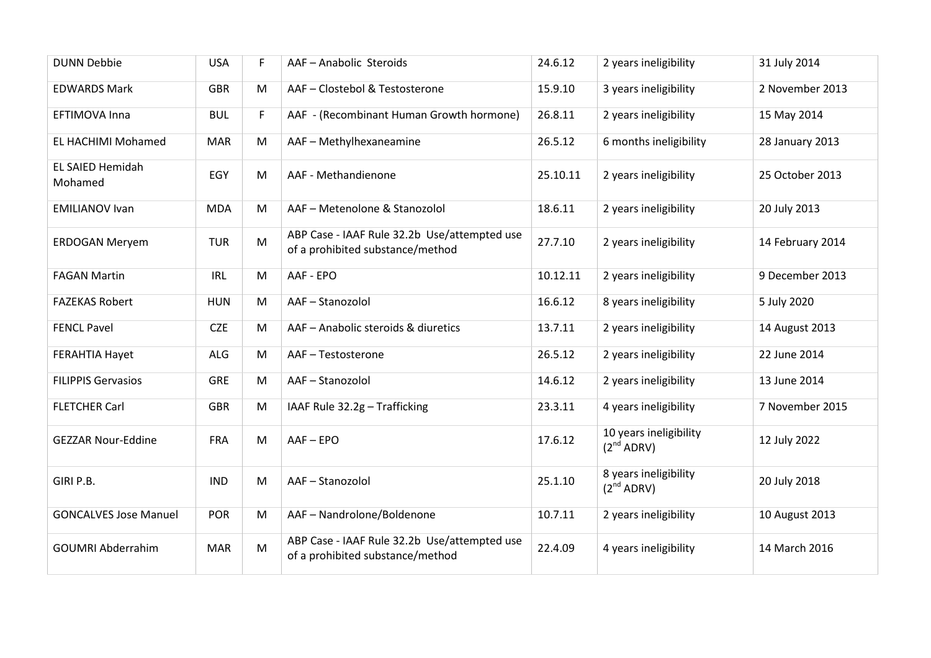| <b>DUNN Debbie</b>                 | <b>USA</b> | F. | AAF-Anabolic Steroids                                                            | 24.6.12  | 2 years ineligibility                            | 31 July 2014     |
|------------------------------------|------------|----|----------------------------------------------------------------------------------|----------|--------------------------------------------------|------------------|
| <b>EDWARDS Mark</b>                | <b>GBR</b> | M  | AAF - Clostebol & Testosterone                                                   | 15.9.10  | 3 years ineligibility                            | 2 November 2013  |
| EFTIMOVA Inna                      | <b>BUL</b> | F  | AAF - (Recombinant Human Growth hormone)                                         | 26.8.11  | 2 years ineligibility                            | 15 May 2014      |
| EL HACHIMI Mohamed                 | <b>MAR</b> | M  | AAF - Methylhexaneamine                                                          | 26.5.12  | 6 months ineligibility                           | 28 January 2013  |
| <b>EL SAIED Hemidah</b><br>Mohamed | EGY        | M  | AAF - Methandienone                                                              | 25.10.11 | 2 years ineligibility                            | 25 October 2013  |
| <b>EMILIANOV Ivan</b>              | <b>MDA</b> | M  | AAF-Metenolone & Stanozolol                                                      | 18.6.11  | 2 years ineligibility                            | 20 July 2013     |
| <b>ERDOGAN Meryem</b>              | <b>TUR</b> | M  | ABP Case - IAAF Rule 32.2b Use/attempted use<br>of a prohibited substance/method | 27.7.10  | 2 years ineligibility                            | 14 February 2014 |
| <b>FAGAN Martin</b>                | IRL        | M  | AAF - EPO                                                                        | 10.12.11 | 2 years ineligibility                            | 9 December 2013  |
| <b>FAZEKAS Robert</b>              | <b>HUN</b> | M  | AAF-Stanozolol                                                                   | 16.6.12  | 8 years ineligibility                            | 5 July 2020      |
| <b>FENCL Pavel</b>                 | <b>CZE</b> | M  | AAF - Anabolic steroids & diuretics                                              | 13.7.11  | 2 years ineligibility                            | 14 August 2013   |
| <b>FERAHTIA Hayet</b>              | <b>ALG</b> | M  | AAF-Testosterone                                                                 | 26.5.12  | 2 years ineligibility                            | 22 June 2014     |
| <b>FILIPPIS Gervasios</b>          | <b>GRE</b> | M  | AAF-Stanozolol                                                                   | 14.6.12  | 2 years ineligibility                            | 13 June 2014     |
| <b>FLETCHER Carl</b>               | <b>GBR</b> | M  | IAAF Rule 32.2g - Trafficking                                                    | 23.3.11  | 4 years ineligibility                            | 7 November 2015  |
| <b>GEZZAR Nour-Eddine</b>          | <b>FRA</b> | M  | $AAF - EPO$                                                                      | 17.6.12  | 10 years ineligibility<br>(2 <sup>nd</sup> ADRV) | 12 July 2022     |
| GIRI P.B.                          | <b>IND</b> | M  | AAF-Stanozolol                                                                   | 25.1.10  | 8 years ineligibility<br>(2 <sup>nd</sup> ADRV)  | 20 July 2018     |
| <b>GONCALVES Jose Manuel</b>       | <b>POR</b> | M  | AAF-Nandrolone/Boldenone                                                         | 10.7.11  | 2 years ineligibility                            | 10 August 2013   |
| <b>GOUMRI Abderrahim</b>           | <b>MAR</b> | M  | ABP Case - IAAF Rule 32.2b Use/attempted use<br>of a prohibited substance/method | 22.4.09  | 4 years ineligibility                            | 14 March 2016    |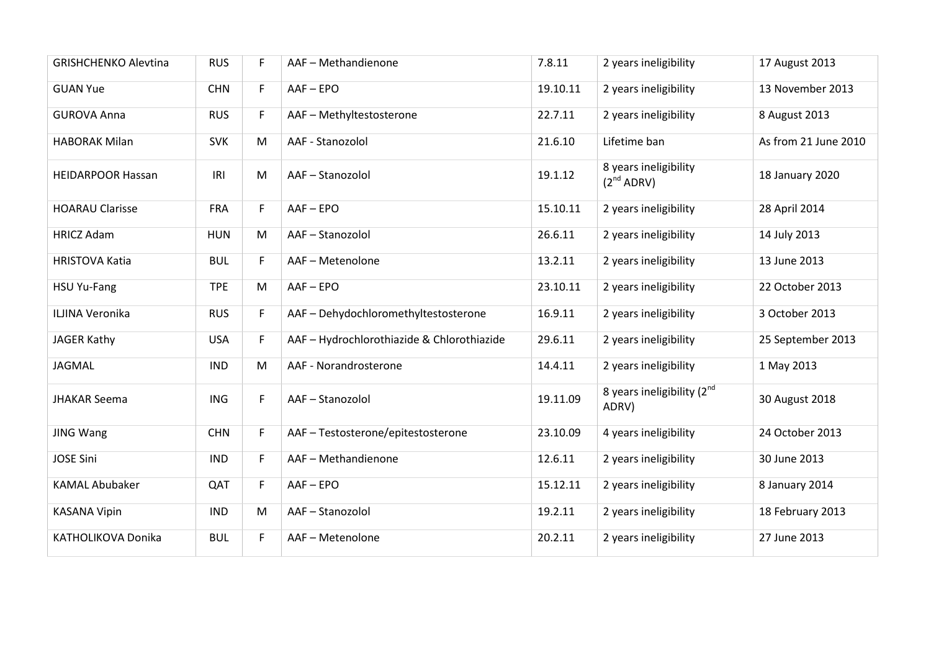| <b>GRISHCHENKO Alevtina</b> | <b>RUS</b> | F. | AAF - Methandienone                        | 7.8.11   | 2 years ineligibility                    | 17 August 2013       |
|-----------------------------|------------|----|--------------------------------------------|----------|------------------------------------------|----------------------|
| <b>GUAN Yue</b>             | <b>CHN</b> | F  | AAF-EPO                                    | 19.10.11 | 2 years ineligibility                    | 13 November 2013     |
| <b>GUROVA Anna</b>          | <b>RUS</b> | F. | AAF - Methyltestosterone                   | 22.7.11  | 2 years ineligibility                    | 8 August 2013        |
| <b>HABORAK Milan</b>        | <b>SVK</b> | M  | AAF - Stanozolol                           | 21.6.10  | Lifetime ban                             | As from 21 June 2010 |
| <b>HEIDARPOOR Hassan</b>    | IRI        | M  | AAF-Stanozolol                             | 19.1.12  | 8 years ineligibility<br>$(2^{nd}$ ADRV) | 18 January 2020      |
| <b>HOARAU Clarisse</b>      | <b>FRA</b> | F  | $AAF - EPO$                                | 15.10.11 | 2 years ineligibility                    | 28 April 2014        |
| <b>HRICZ Adam</b>           | <b>HUN</b> | M  | AAF-Stanozolol                             | 26.6.11  | 2 years ineligibility                    | 14 July 2013         |
| <b>HRISTOVA Katia</b>       | <b>BUL</b> | F. | AAF - Metenolone                           | 13.2.11  | 2 years ineligibility                    | 13 June 2013         |
| <b>HSU Yu-Fang</b>          | <b>TPE</b> | M  | $AAF - EPO$                                | 23.10.11 | 2 years ineligibility                    | 22 October 2013      |
| ILJINA Veronika             | <b>RUS</b> | F. | AAF - Dehydochloromethyltestosterone       | 16.9.11  | 2 years ineligibility                    | 3 October 2013       |
| JAGER Kathy                 | <b>USA</b> | F. | AAF - Hydrochlorothiazide & Chlorothiazide | 29.6.11  | 2 years ineligibility                    | 25 September 2013    |
| <b>JAGMAL</b>               | <b>IND</b> | M  | AAF - Norandrosterone                      | 14.4.11  | 2 years ineligibility                    | 1 May 2013           |
| <b>JHAKAR Seema</b>         | <b>ING</b> | F  | AAF-Stanozolol                             | 19.11.09 | 8 years ineligibility $(2^{nd}$<br>ADRV) | 30 August 2018       |
| <b>JING Wang</b>            | <b>CHN</b> | F  | AAF - Testosterone/epitestosterone         | 23.10.09 | 4 years ineligibility                    | 24 October 2013      |
| <b>JOSE Sini</b>            | <b>IND</b> | F. | AAF - Methandienone                        | 12.6.11  | 2 years ineligibility                    | 30 June 2013         |
| <b>KAMAL Abubaker</b>       | QAT        | F. | $AAF - EPO$                                | 15.12.11 | 2 years ineligibility                    | 8 January 2014       |
| <b>KASANA Vipin</b>         | <b>IND</b> | M  | AAF-Stanozolol                             | 19.2.11  | 2 years ineligibility                    | 18 February 2013     |
| KATHOLIKOVA Donika          | <b>BUL</b> | F  | AAF - Metenolone                           | 20.2.11  | 2 years ineligibility                    | 27 June 2013         |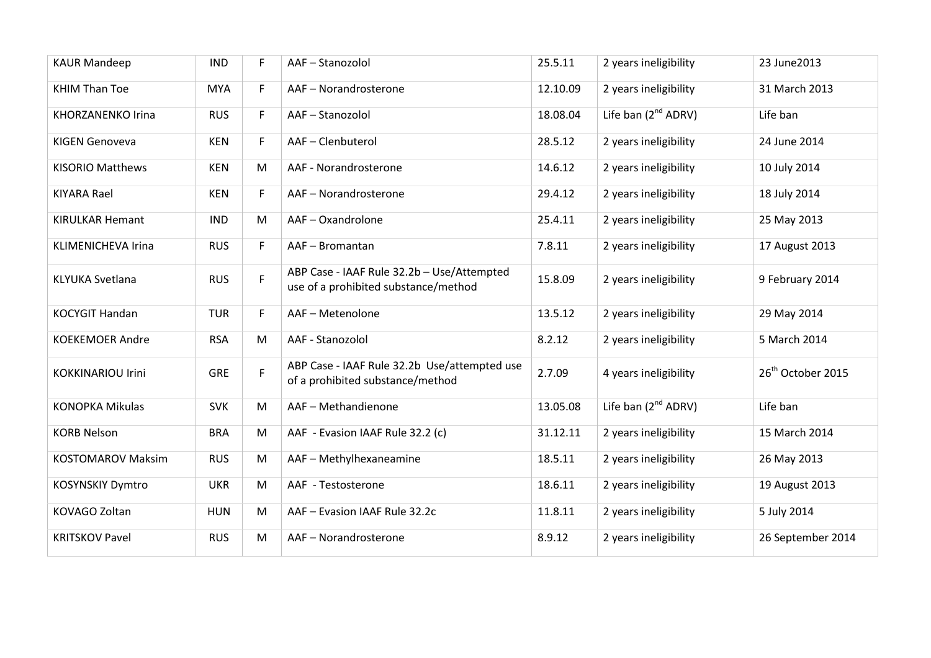| <b>KAUR Mandeep</b>      | <b>IND</b> | F. | AAF-Stanozolol                                                                     | 25.5.11  | 2 years ineligibility    | 23 June 2013                  |
|--------------------------|------------|----|------------------------------------------------------------------------------------|----------|--------------------------|-------------------------------|
| <b>KHIM Than Toe</b>     | <b>MYA</b> | F  | AAF-Norandrosterone                                                                | 12.10.09 | 2 years ineligibility    | 31 March 2013                 |
| <b>KHORZANENKO Irina</b> | <b>RUS</b> | F  | AAF-Stanozolol                                                                     | 18.08.04 | Life ban $(2^{nd}$ ADRV) | Life ban                      |
| <b>KIGEN Genoveva</b>    | <b>KEN</b> | F. | AAF-Clenbuterol                                                                    | 28.5.12  | 2 years ineligibility    | 24 June 2014                  |
| <b>KISORIO Matthews</b>  | <b>KEN</b> | M  | AAF - Norandrosterone                                                              | 14.6.12  | 2 years ineligibility    | 10 July 2014                  |
| <b>KIYARA Rael</b>       | <b>KEN</b> | F  | AAF - Norandrosterone                                                              | 29.4.12  | 2 years ineligibility    | 18 July 2014                  |
| <b>KIRULKAR Hemant</b>   | <b>IND</b> | M  | AAF-Oxandrolone                                                                    | 25.4.11  | 2 years ineligibility    | 25 May 2013                   |
| KLIMENICHEVA Irina       | <b>RUS</b> | F  | AAF-Bromantan                                                                      | 7.8.11   | 2 years ineligibility    | 17 August 2013                |
| <b>KLYUKA Svetlana</b>   | <b>RUS</b> | F. | ABP Case - IAAF Rule 32.2b - Use/Attempted<br>use of a prohibited substance/method | 15.8.09  | 2 years ineligibility    | 9 February 2014               |
| <b>KOCYGIT Handan</b>    | <b>TUR</b> | F. | AAF - Metenolone                                                                   | 13.5.12  | 2 years ineligibility    | 29 May 2014                   |
| <b>KOEKEMOER Andre</b>   | <b>RSA</b> | M  | AAF - Stanozolol                                                                   | 8.2.12   | 2 years ineligibility    | 5 March 2014                  |
| <b>KOKKINARIOU Irini</b> | <b>GRE</b> | F  | ABP Case - IAAF Rule 32.2b Use/attempted use<br>of a prohibited substance/method   | 2.7.09   | 4 years ineligibility    | 26 <sup>th</sup> October 2015 |
| <b>KONOPKA Mikulas</b>   | <b>SVK</b> | M  | AAF-Methandienone                                                                  | 13.05.08 | Life ban $(2^{nd}$ ADRV) | Life ban                      |
| <b>KORB Nelson</b>       | <b>BRA</b> | M  | AAF - Evasion IAAF Rule 32.2 (c)                                                   | 31.12.11 | 2 years ineligibility    | 15 March 2014                 |
| <b>KOSTOMAROV Maksim</b> | <b>RUS</b> | M  | AAF - Methylhexaneamine                                                            | 18.5.11  | 2 years ineligibility    | 26 May 2013                   |
| <b>KOSYNSKIY Dymtro</b>  | <b>UKR</b> | M  | AAF - Testosterone                                                                 | 18.6.11  | 2 years ineligibility    | 19 August 2013                |
| KOVAGO Zoltan            | <b>HUN</b> | M  | AAF - Evasion IAAF Rule 32.2c                                                      | 11.8.11  | 2 years ineligibility    | 5 July 2014                   |
| <b>KRITSKOV Pavel</b>    | <b>RUS</b> | M  | AAF-Norandrosterone                                                                | 8.9.12   | 2 years ineligibility    | 26 September 2014             |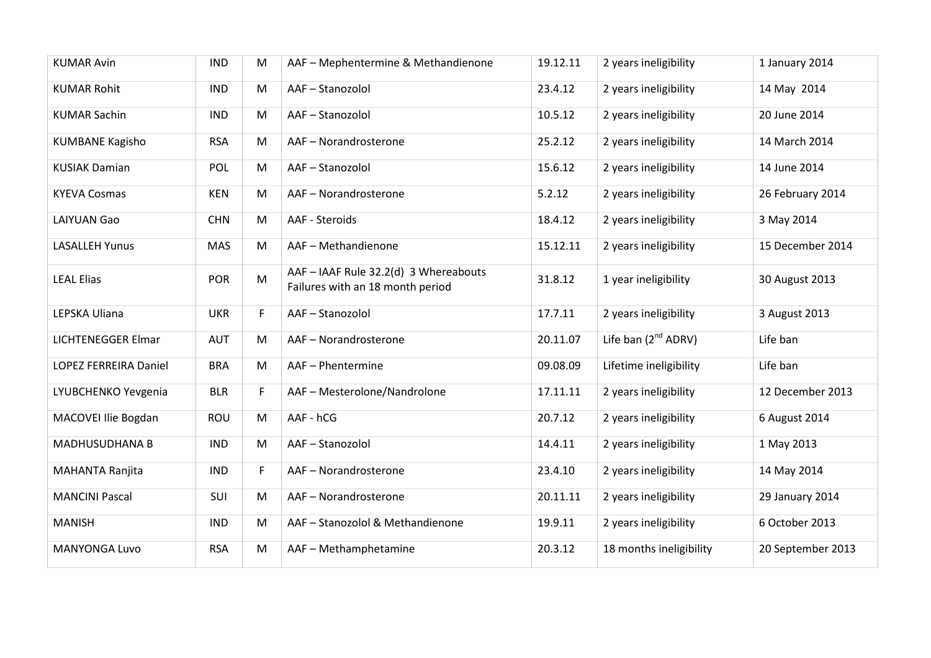| <b>KUMAR Avin</b>            | <b>IND</b> | M         | AAF - Mephentermine & Methandienone                                       | 19.12.11 | 2 years ineligibility    | 1 January 2014    |
|------------------------------|------------|-----------|---------------------------------------------------------------------------|----------|--------------------------|-------------------|
| <b>KUMAR Rohit</b>           | <b>IND</b> | M         | AAF-Stanozolol                                                            | 23.4.12  | 2 years ineligibility    | 14 May 2014       |
| <b>KUMAR Sachin</b>          | <b>IND</b> | M         | AAF-Stanozolol                                                            | 10.5.12  | 2 years ineligibility    | 20 June 2014      |
| <b>KUMBANE Kagisho</b>       | <b>RSA</b> | M         | AAF-Norandrosterone                                                       | 25.2.12  | 2 years ineligibility    | 14 March 2014     |
| <b>KUSIAK Damian</b>         | POL        | M         | AAF-Stanozolol                                                            | 15.6.12  | 2 years ineligibility    | 14 June 2014      |
| <b>KYEVA Cosmas</b>          | <b>KEN</b> | M         | AAF-Norandrosterone                                                       | 5.2.12   | 2 years ineligibility    | 26 February 2014  |
| <b>LAIYUAN Gao</b>           | <b>CHN</b> | M         | AAF - Steroids                                                            | 18.4.12  | 2 years ineligibility    | 3 May 2014        |
| <b>LASALLEH Yunus</b>        | <b>MAS</b> | M         | AAF-Methandienone                                                         | 15.12.11 | 2 years ineligibility    | 15 December 2014  |
| <b>LEAL Elias</b>            | <b>POR</b> | ${\sf M}$ | AAF - IAAF Rule 32.2(d) 3 Whereabouts<br>Failures with an 18 month period | 31.8.12  | 1 year ineligibility     | 30 August 2013    |
| LEPSKA Uliana                | <b>UKR</b> | F         | AAF-Stanozolol                                                            | 17.7.11  | 2 years ineligibility    | 3 August 2013     |
| <b>LICHTENEGGER Elmar</b>    | <b>AUT</b> | M         | AAF - Norandrosterone                                                     | 20.11.07 | Life ban $(2^{nd}$ ADRV) | Life ban          |
| <b>LOPEZ FERREIRA Daniel</b> | <b>BRA</b> | M         | AAF - Phentermine                                                         | 09.08.09 | Lifetime ineligibility   | Life ban          |
| LYUBCHENKO Yevgenia          | <b>BLR</b> | F.        | AAF - Mesterolone/Nandrolone                                              | 17.11.11 | 2 years ineligibility    | 12 December 2013  |
| MACOVEI Ilie Bogdan          | ROU        | M         | AAF - hCG                                                                 | 20.7.12  | 2 years ineligibility    | 6 August 2014     |
| MADHUSUDHANA B               | <b>IND</b> | M         | AAF-Stanozolol                                                            | 14.4.11  | 2 years ineligibility    | 1 May 2013        |
| MAHANTA Ranjita              | <b>IND</b> | F         | AAF-Norandrosterone                                                       | 23.4.10  | 2 years ineligibility    | 14 May 2014       |
| <b>MANCINI Pascal</b>        | SUI        | M         | AAF-Norandrosterone                                                       | 20.11.11 | 2 years ineligibility    | 29 January 2014   |
| <b>MANISH</b>                | <b>IND</b> | M         | AAF - Stanozolol & Methandienone                                          | 19.9.11  | 2 years ineligibility    | 6 October 2013    |
| <b>MANYONGA Luvo</b>         | <b>RSA</b> | M         | AAF - Methamphetamine                                                     | 20.3.12  | 18 months ineligibility  | 20 September 2013 |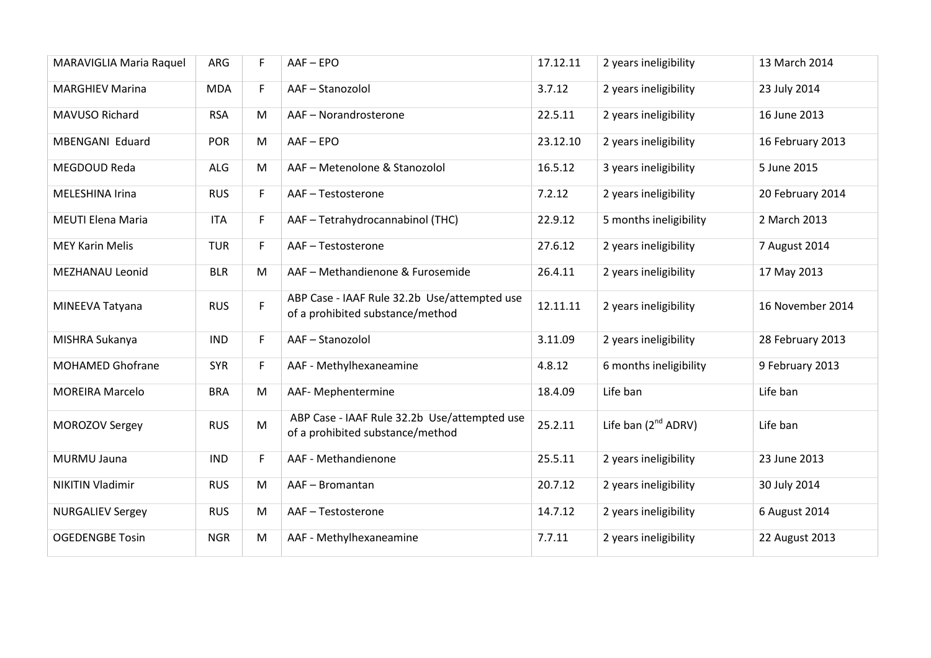| MARAVIGLIA Maria Raquel  | ARG        | F  | $AAF - EPO$                                                                      | 17.12.11 | 2 years ineligibility    | 13 March 2014    |
|--------------------------|------------|----|----------------------------------------------------------------------------------|----------|--------------------------|------------------|
| <b>MARGHIEV Marina</b>   | <b>MDA</b> | F  | AAF-Stanozolol                                                                   | 3.7.12   | 2 years ineligibility    | 23 July 2014     |
| MAVUSO Richard           | <b>RSA</b> | M  | AAF - Norandrosterone                                                            | 22.5.11  | 2 years ineligibility    | 16 June 2013     |
| MBENGANI Eduard          | <b>POR</b> | M  | $AAF - EPO$                                                                      | 23.12.10 | 2 years ineligibility    | 16 February 2013 |
| MEGDOUD Reda             | ALG        | M  | AAF - Metenolone & Stanozolol                                                    | 16.5.12  | 3 years ineligibility    | 5 June 2015      |
| MELESHINA Irina          | <b>RUS</b> | F  | AAF-Testosterone                                                                 | 7.2.12   | 2 years ineligibility    | 20 February 2014 |
| <b>MEUTI Elena Maria</b> | <b>ITA</b> | F  | AAF - Tetrahydrocannabinol (THC)                                                 | 22.9.12  | 5 months ineligibility   | 2 March 2013     |
| <b>MEY Karin Melis</b>   | <b>TUR</b> | F. | AAF-Testosterone                                                                 | 27.6.12  | 2 years ineligibility    | 7 August 2014    |
| MEZHANAU Leonid          | <b>BLR</b> | M  | AAF - Methandienone & Furosemide                                                 | 26.4.11  | 2 years ineligibility    | 17 May 2013      |
| MINEEVA Tatyana          | <b>RUS</b> | F  | ABP Case - IAAF Rule 32.2b Use/attempted use<br>of a prohibited substance/method | 12.11.11 | 2 years ineligibility    | 16 November 2014 |
| MISHRA Sukanya           | <b>IND</b> | F  | AAF-Stanozolol                                                                   | 3.11.09  | 2 years ineligibility    | 28 February 2013 |
| <b>MOHAMED Ghofrane</b>  | <b>SYR</b> | F. | AAF - Methylhexaneamine                                                          | 4.8.12   | 6 months ineligibility   | 9 February 2013  |
| <b>MOREIRA Marcelo</b>   | <b>BRA</b> | M  | AAF- Mephentermine                                                               | 18.4.09  | Life ban                 | Life ban         |
| <b>MOROZOV Sergey</b>    | <b>RUS</b> | M  | ABP Case - IAAF Rule 32.2b Use/attempted use<br>of a prohibited substance/method | 25.2.11  | Life ban $(2^{nd}$ ADRV) | Life ban         |
| MURMU Jauna              | <b>IND</b> | F. | AAF - Methandienone                                                              | 25.5.11  | 2 years ineligibility    | 23 June 2013     |
| <b>NIKITIN Vladimir</b>  | <b>RUS</b> | M  | AAF-Bromantan                                                                    | 20.7.12  | 2 years ineligibility    | 30 July 2014     |
| <b>NURGALIEV Sergey</b>  | <b>RUS</b> | M  | AAF-Testosterone                                                                 | 14.7.12  | 2 years ineligibility    | 6 August 2014    |
| <b>OGEDENGBE Tosin</b>   | <b>NGR</b> | M  | AAF - Methylhexaneamine                                                          | 7.7.11   | 2 years ineligibility    | 22 August 2013   |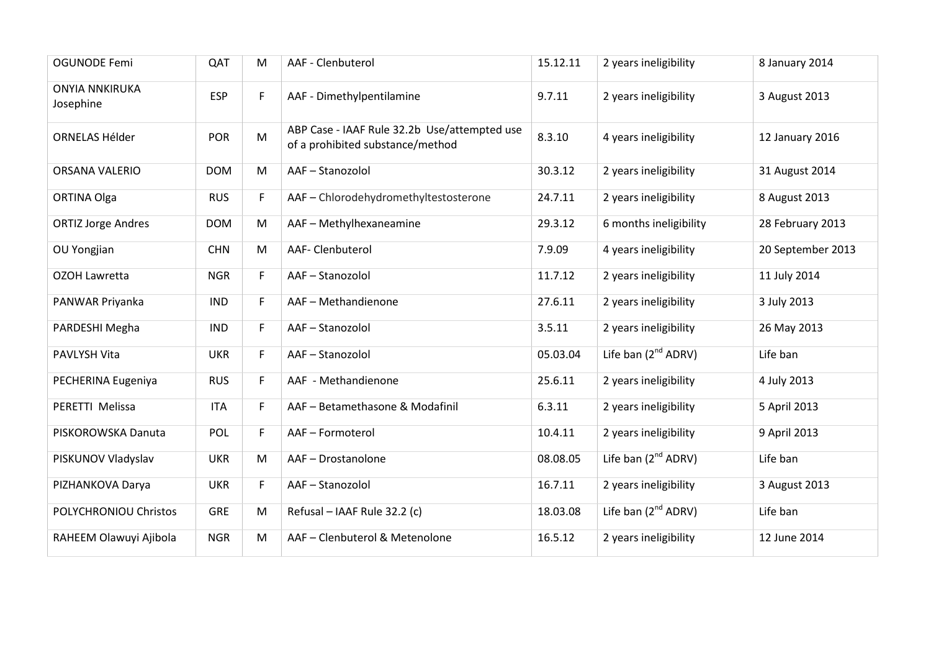| <b>OGUNODE Femi</b>                | QAT        | M  | AAF - Clenbuterol                                                                | 15.12.11 | 2 years ineligibility           | 8 January 2014    |
|------------------------------------|------------|----|----------------------------------------------------------------------------------|----------|---------------------------------|-------------------|
| <b>ONYIA NNKIRUKA</b><br>Josephine | <b>ESP</b> | F  | AAF - Dimethylpentilamine                                                        | 9.7.11   | 2 years ineligibility           | 3 August 2013     |
| ORNELAS Hélder                     | <b>POR</b> | M  | ABP Case - IAAF Rule 32.2b Use/attempted use<br>of a prohibited substance/method | 8.3.10   | 4 years ineligibility           | 12 January 2016   |
| ORSANA VALERIO                     | <b>DOM</b> | M  | AAF-Stanozolol                                                                   | 30.3.12  | 2 years ineligibility           | 31 August 2014    |
| <b>ORTINA Olga</b>                 | <b>RUS</b> | F. | AAF - Chlorodehydromethyltestosterone                                            | 24.7.11  | 2 years ineligibility           | 8 August 2013     |
| <b>ORTIZ Jorge Andres</b>          | <b>DOM</b> | M  | AAF - Methylhexaneamine                                                          | 29.3.12  | 6 months ineligibility          | 28 February 2013  |
| OU Yongjian                        | <b>CHN</b> | M  | AAF- Clenbuterol                                                                 | 7.9.09   | 4 years ineligibility           | 20 September 2013 |
| OZOH Lawretta                      | <b>NGR</b> | F. | AAF-Stanozolol                                                                   | 11.7.12  | 2 years ineligibility           | 11 July 2014      |
| PANWAR Priyanka                    | <b>IND</b> | F. | AAF - Methandienone                                                              | 27.6.11  | 2 years ineligibility           | 3 July 2013       |
| PARDESHI Megha                     | <b>IND</b> | F. | AAF-Stanozolol                                                                   | 3.5.11   | 2 years ineligibility           | 26 May 2013       |
| PAVLYSH Vita                       | <b>UKR</b> | F. | AAF-Stanozolol                                                                   | 05.03.04 | Life ban $(2^{nd}$ ADRV)        | Life ban          |
| PECHERINA Eugeniya                 | <b>RUS</b> | F  | AAF - Methandienone                                                              | 25.6.11  | 2 years ineligibility           | 4 July 2013       |
| PERETTI Melissa                    | <b>ITA</b> | F. | AAF - Betamethasone & Modafinil                                                  | 6.3.11   | 2 years ineligibility           | 5 April 2013      |
| PISKOROWSKA Danuta                 | POL        | F  | AAF-Formoterol                                                                   | 10.4.11  | 2 years ineligibility           | 9 April 2013      |
| PISKUNOV Vladyslav                 | <b>UKR</b> | M  | AAF - Drostanolone                                                               | 08.08.05 | Life ban (2 <sup>nd</sup> ADRV) | Life ban          |
| PIZHANKOVA Darya                   | <b>UKR</b> | F. | AAF-Stanozolol                                                                   | 16.7.11  | 2 years ineligibility           | 3 August 2013     |
| POLYCHRONIOU Christos              | <b>GRE</b> | M  | Refusal - IAAF Rule 32.2 (c)                                                     | 18.03.08 | Life ban $(2^{nd}$ ADRV)        | Life ban          |
| RAHEEM Olawuyi Ajibola             | <b>NGR</b> | M  | AAF - Clenbuterol & Metenolone                                                   | 16.5.12  | 2 years ineligibility           | 12 June 2014      |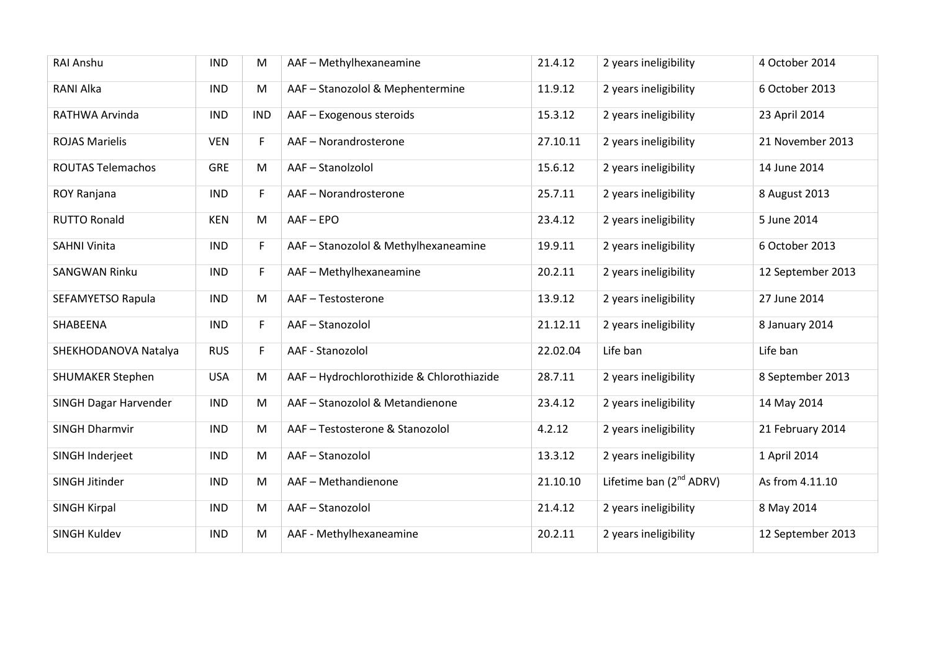| <b>RAI Anshu</b>         | <b>IND</b> | M          | AAF - Methylhexaneamine                   | 21.4.12  | 2 years ineligibility        | 4 October 2014    |
|--------------------------|------------|------------|-------------------------------------------|----------|------------------------------|-------------------|
| RANI Alka                | <b>IND</b> | M          | AAF - Stanozolol & Mephentermine          | 11.9.12  | 2 years ineligibility        | 6 October 2013    |
| RATHWA Arvinda           | <b>IND</b> | <b>IND</b> | AAF - Exogenous steroids                  | 15.3.12  | 2 years ineligibility        | 23 April 2014     |
| <b>ROJAS Marielis</b>    | <b>VEN</b> | F.         | AAF-Norandrosterone                       | 27.10.11 | 2 years ineligibility        | 21 November 2013  |
| <b>ROUTAS Telemachos</b> | <b>GRE</b> | M          | AAF-Stanolzolol                           | 15.6.12  | 2 years ineligibility        | 14 June 2014      |
| ROY Ranjana              | <b>IND</b> | F.         | AAF-Norandrosterone                       | 25.7.11  | 2 years ineligibility        | 8 August 2013     |
| <b>RUTTO Ronald</b>      | <b>KEN</b> | M          | $AAF - EPO$                               | 23.4.12  | 2 years ineligibility        | 5 June 2014       |
| <b>SAHNI Vinita</b>      | <b>IND</b> | F          | AAF - Stanozolol & Methylhexaneamine      | 19.9.11  | 2 years ineligibility        | 6 October 2013    |
| <b>SANGWAN Rinku</b>     | <b>IND</b> | F          | AAF - Methylhexaneamine                   | 20.2.11  | 2 years ineligibility        | 12 September 2013 |
| SEFAMYETSO Rapula        | <b>IND</b> | M          | AAF-Testosterone                          | 13.9.12  | 2 years ineligibility        | 27 June 2014      |
| SHABEENA                 | <b>IND</b> | F          | AAF-Stanozolol                            | 21.12.11 | 2 years ineligibility        | 8 January 2014    |
| SHEKHODANOVA Natalya     | <b>RUS</b> | F          | AAF - Stanozolol                          | 22.02.04 | Life ban                     | Life ban          |
| <b>SHUMAKER Stephen</b>  | <b>USA</b> | M          | AAF - Hydrochlorothizide & Chlorothiazide | 28.7.11  | 2 years ineligibility        | 8 September 2013  |
| SINGH Dagar Harvender    | <b>IND</b> | M          | AAF - Stanozolol & Metandienone           | 23.4.12  | 2 years ineligibility        | 14 May 2014       |
| <b>SINGH Dharmvir</b>    | <b>IND</b> | M          | AAF-Testosterone & Stanozolol             | 4.2.12   | 2 years ineligibility        | 21 February 2014  |
| SINGH Inderjeet          | <b>IND</b> | M          | AAF-Stanozolol                            | 13.3.12  | 2 years ineligibility        | 1 April 2014      |
| SINGH Jitinder           | <b>IND</b> | M          | AAF - Methandienone                       | 21.10.10 | Lifetime ban $(2^{nd}$ ADRV) | As from 4.11.10   |
| <b>SINGH Kirpal</b>      | <b>IND</b> | M          | AAF-Stanozolol                            | 21.4.12  | 2 years ineligibility        | 8 May 2014        |
| SINGH Kuldev             | <b>IND</b> | M          | AAF - Methylhexaneamine                   | 20.2.11  | 2 years ineligibility        | 12 September 2013 |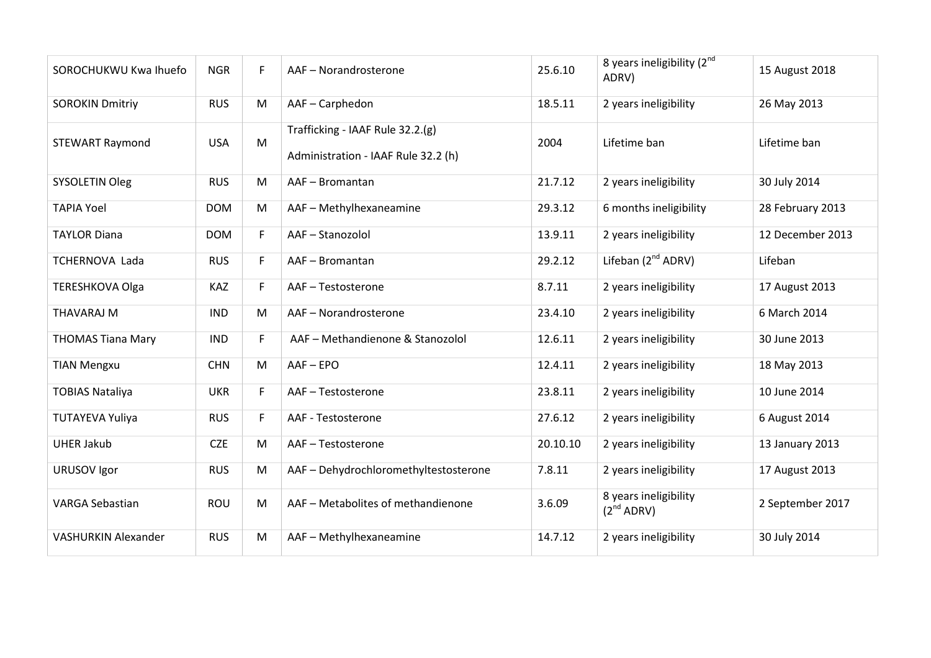| SOROCHUKWU Kwa Ihuefo      | <b>NGR</b> | F. | AAF - Norandrosterone                                                   | 25.6.10  | 8 years ineligibility (2nd<br>ADRV)             | 15 August 2018   |
|----------------------------|------------|----|-------------------------------------------------------------------------|----------|-------------------------------------------------|------------------|
| <b>SOROKIN Dmitriy</b>     | <b>RUS</b> | M  | AAF-Carphedon                                                           | 18.5.11  | 2 years ineligibility                           | 26 May 2013      |
| <b>STEWART Raymond</b>     | <b>USA</b> | M  | Trafficking - IAAF Rule 32.2.(g)<br>Administration - IAAF Rule 32.2 (h) | 2004     | Lifetime ban                                    | Lifetime ban     |
| <b>SYSOLETIN Oleg</b>      | <b>RUS</b> | M  | AAF-Bromantan                                                           | 21.7.12  | 2 years ineligibility                           | 30 July 2014     |
| <b>TAPIA Yoel</b>          | <b>DOM</b> | M  | AAF - Methylhexaneamine                                                 | 29.3.12  | 6 months ineligibility                          | 28 February 2013 |
| <b>TAYLOR Diana</b>        | <b>DOM</b> | F  | AAF-Stanozolol                                                          | 13.9.11  | 2 years ineligibility                           | 12 December 2013 |
| TCHERNOVA Lada             | <b>RUS</b> | F  | AAF-Bromantan                                                           | 29.2.12  | Lifeban (2 <sup>nd</sup> ADRV)                  | Lifeban          |
| <b>TERESHKOVA Olga</b>     | <b>KAZ</b> | F. | AAF-Testosterone                                                        | 8.7.11   | 2 years ineligibility                           | 17 August 2013   |
| <b>THAVARAJ M</b>          | <b>IND</b> | M  | AAF-Norandrosterone                                                     | 23.4.10  | 2 years ineligibility                           | 6 March 2014     |
| <b>THOMAS Tiana Mary</b>   | <b>IND</b> | F. | AAF - Methandienone & Stanozolol                                        | 12.6.11  | 2 years ineligibility                           | 30 June 2013     |
| <b>TIAN Mengxu</b>         | <b>CHN</b> | M  | $AAF - EPO$                                                             | 12.4.11  | 2 years ineligibility                           | 18 May 2013      |
| <b>TOBIAS Nataliya</b>     | <b>UKR</b> | F. | AAF-Testosterone                                                        | 23.8.11  | 2 years ineligibility                           | 10 June 2014     |
| <b>TUTAYEVA Yuliya</b>     | <b>RUS</b> | F. | AAF - Testosterone                                                      | 27.6.12  | 2 years ineligibility                           | 6 August 2014    |
| <b>UHER Jakub</b>          | <b>CZE</b> | M  | AAF-Testosterone                                                        | 20.10.10 | 2 years ineligibility                           | 13 January 2013  |
| URUSOV Igor                | <b>RUS</b> | M  | AAF - Dehydrochloromethyltestosterone                                   | 7.8.11   | 2 years ineligibility                           | 17 August 2013   |
| <b>VARGA Sebastian</b>     | <b>ROU</b> | M  | AAF - Metabolites of methandienone                                      | 3.6.09   | 8 years ineligibility<br>(2 <sup>nd</sup> ADRV) | 2 September 2017 |
| <b>VASHURKIN Alexander</b> | <b>RUS</b> | M  | AAF - Methylhexaneamine                                                 | 14.7.12  | 2 years ineligibility                           | 30 July 2014     |